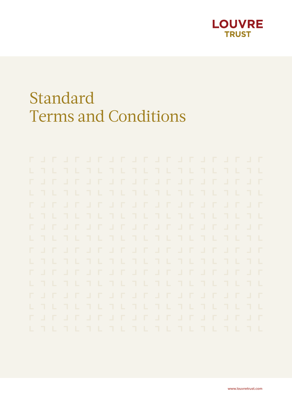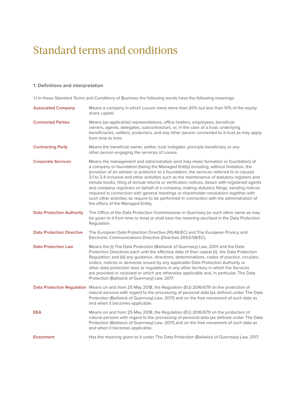#### **1. Definitions and interpretation**

1.1 In these Standard Terms and Conditions of Business the following words have the following meanings:

| <b>Associated Company</b>        | Means a company in which Louvre owns more than 20% but less than 51% of the equity<br>share capital.                                                                                                                                                                                                                                                                                                                                                                                                                                                                                                                                                                                                                                                                                              |  |  |
|----------------------------------|---------------------------------------------------------------------------------------------------------------------------------------------------------------------------------------------------------------------------------------------------------------------------------------------------------------------------------------------------------------------------------------------------------------------------------------------------------------------------------------------------------------------------------------------------------------------------------------------------------------------------------------------------------------------------------------------------------------------------------------------------------------------------------------------------|--|--|
| <b>Connected Parties</b>         | Means (as applicable) representatives, office holders, employees, beneficial<br>owners, agents, delegates, subcontractors, or, in the case of a trust, underlying<br>beneficiaries, settlors, protectors, and any other person connected to a trust as may apply<br>from time to time.                                                                                                                                                                                                                                                                                                                                                                                                                                                                                                            |  |  |
| <b>Contracting Party</b>         | Means the beneficial owner, settlor, trust instigator, principle beneficiary or any<br>other person engaging the services of Louvre.                                                                                                                                                                                                                                                                                                                                                                                                                                                                                                                                                                                                                                                              |  |  |
| <b>Corporate Services</b>        | Means the management and administration (and may mean formation or foundation) of<br>a company or foundation (being the Managed Entity) including, without limitation, the<br>provision of an adviser or protector to a foundation, the services referred to in clauses<br>3.1 to 3.4 inclusive and other activities such as the maintenance of statutory registers and<br>minute books, filing of annual returns or verification notices, liaison with registered agents<br>and company registrars on behalf of a company, making statutory filings, sending notices<br>required in connection with general meetings or shareholder resolutions together with<br>such other activities as require to be performed in connection with the administration of<br>the affairs of the Managed Entity. |  |  |
| <b>Data Protection Authority</b> | The Office of the Data Protection Commissioner in Guernsey (or such other name as may<br>be given to it from time to time) or shall bear the meaning ascribed in the Data Protection<br>Regulation.                                                                                                                                                                                                                                                                                                                                                                                                                                                                                                                                                                                               |  |  |
| <b>Data Protection Directive</b> | The European Data Protection Directive (95/46/EC) and The European Privacy and<br>Electronic Communications Directive (Directive 2002/58/EC).                                                                                                                                                                                                                                                                                                                                                                                                                                                                                                                                                                                                                                                     |  |  |
| <b>Data Protection Law</b>       | Means the (i) The Data Protection (Bailiwick of Guernsey) Law, 2001 and the Data<br>Protection Directives each until the effective date of their repeal (ii) the Data Protection<br>Regulation; and (iii) any guidance, directions, determinations, codes of practice, circulars,<br>orders, notices or demands issued by any applicable Data Protection Authority or<br>other data protection laws or regulations in any other territory in which the Services<br>are provided or received or which are otherwise applicable and, in particular, The Data<br>Protection (Bailiwick of Guernsey) Law, 2017.                                                                                                                                                                                       |  |  |
|                                  | Data Protection Regulation Means on and from 25 May 2018, the Regulation (EU) 2016/679 on the protection of<br>natural persons with regard to the processing of personal data (as defined under The Data<br>Protection (Bailiwick of Guernsey) Law, 2017) and on the free movement of such data as<br>and when it becomes applicable.                                                                                                                                                                                                                                                                                                                                                                                                                                                             |  |  |
| EEA                              | Means on and from 25 May 2018, the Regulation (EU) 2016/679 on the protection of<br>natural persons with regard to the processing of personal data (as defined under The Data<br>Protection (Bailiwick of Guernsey) Law, 2017) and on the free movement of such data as<br>and when it becomes applicable.                                                                                                                                                                                                                                                                                                                                                                                                                                                                                        |  |  |
| <b>Enactment</b>                 | Has the meaning given to it under The Data Protection (Bailiwick of Guernsey) Law, 2017.                                                                                                                                                                                                                                                                                                                                                                                                                                                                                                                                                                                                                                                                                                          |  |  |
|                                  |                                                                                                                                                                                                                                                                                                                                                                                                                                                                                                                                                                                                                                                                                                                                                                                                   |  |  |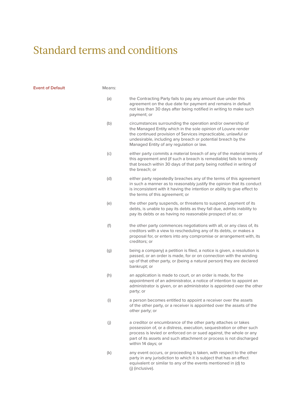**Event of Default** 

| Means: |                                                                                                                                                                                                                                                                                                            |
|--------|------------------------------------------------------------------------------------------------------------------------------------------------------------------------------------------------------------------------------------------------------------------------------------------------------------|
| (a)    | the Contracting Party fails to pay any amount due under this<br>agreement on the due date for payment and remains in default<br>not less than 30 days after being notified in writing to make such<br>payment; or                                                                                          |
| (b)    | circumstances surrounding the operation and/or ownership of<br>the Managed Entity which in the sole opinion of Louvre render<br>the continued provision of Services impracticable, unlawful or<br>undesirable, including any breach or potential breach by the<br>Managed Entity of any regulation or law. |
| (c)    | either party commits a material breach of any of the material terms of<br>this agreement and (if such a breach is remediable) fails to remedy<br>that breach within 30 days of that party being notified in writing of<br>the breach; or                                                                   |
| (d)    | either party repeatedly breaches any of the terms of this agreement<br>in such a manner as to reasonably justify the opinion that its conduct<br>is inconsistent with it having the intention or ability to give effect to<br>the terms of this agreement; or                                              |
| (e)    | the other party suspends, or threatens to suspend, payment of its<br>debts, is unable to pay its debts as they fall due, admits inability to<br>pay its debts or as having no reasonable prospect of so; or                                                                                                |
| (f)    | the other party commences negotiations with all, or any class of, its<br>creditors with a view to rescheduling any of its debts, or makes a<br>proposal for, or enters into any compromise or arrangement with, its<br>creditors; or                                                                       |
| (g)    | being a company) a petition is filed, a notice is given, a resolution is<br>passed, or an order is made, for or on connection with the winding<br>up of that other party, or (being a natural person) they are declared<br>bankrupt; or                                                                    |
| (h)    | an application is made to court, or an order is made, for the<br>appointment of an administrator, a notice of intention to appoint an<br>administrator is given, or an administrator is appointed over the other<br>party; or                                                                              |
| (i)    | a person becomes entitled to appoint a receiver over the assets<br>of the other party, or a receiver is appointed over the assets of the<br>other party; or                                                                                                                                                |
| (j)    | a creditor or encumbrance of the other party attaches or takes<br>possession of, or a distress, execution, sequestration or other such<br>process is levied or enforced on or sued against, the whole or any<br>part of its assets and such attachment or process is not discharged<br>within 14 days; or  |
| (k)    | any event occurs, or proceeding is taken, with respect to the other<br>party in any jurisdiction to which it is subject that has an effect<br>equivalent or similar to any of the events mentioned in (d) to<br>(j) (inclusive).                                                                           |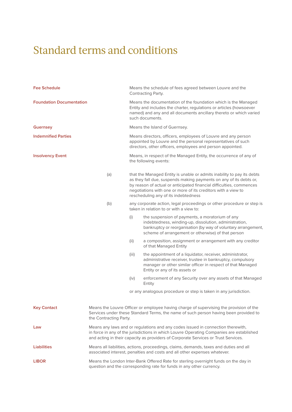| <b>Fee Schedule</b>             |                                                                                                                                                                                                                                                                   |       | Means the schedule of fees agreed between Louvre and the<br>Contracting Party.                                                                                                                                                                                                                                                |  |
|---------------------------------|-------------------------------------------------------------------------------------------------------------------------------------------------------------------------------------------------------------------------------------------------------------------|-------|-------------------------------------------------------------------------------------------------------------------------------------------------------------------------------------------------------------------------------------------------------------------------------------------------------------------------------|--|
| <b>Foundation Documentation</b> |                                                                                                                                                                                                                                                                   |       | Means the documentation of the foundation which is the Managed<br>Entity and includes the charter, regulations or articles (howsoever<br>named) and any and all documents ancillary thereto or which varied<br>such documents.                                                                                                |  |
| <b>Guernsey</b>                 |                                                                                                                                                                                                                                                                   |       | Means the Island of Guernsey.                                                                                                                                                                                                                                                                                                 |  |
| <b>Indemnified Parties</b>      |                                                                                                                                                                                                                                                                   |       | Means directors, officers, employees of Louvre and any person<br>appointed by Louvre and the personal representatives of such<br>directors, other officers, employees and person appointed.                                                                                                                                   |  |
| <b>Insolvency Event</b>         |                                                                                                                                                                                                                                                                   |       | Means, in respect of the Managed Entity, the occurrence of any of<br>the following events:                                                                                                                                                                                                                                    |  |
|                                 | (a)                                                                                                                                                                                                                                                               |       | that the Managed Entity is unable or admits inability to pay its debts<br>as they fall due, suspends making payments on any of its debts or,<br>by reason of actual or anticipated financial difficulties, commences<br>negotiations with one or more of its creditors with a view to<br>rescheduling any of its indebtedness |  |
|                                 | (b)                                                                                                                                                                                                                                                               |       | any corporate action, legal proceedings or other procedure or step is<br>taken in relation to or with a view to:                                                                                                                                                                                                              |  |
|                                 |                                                                                                                                                                                                                                                                   | (i)   | the suspension of payments, a moratorium of any<br>indebtedness, winding-up, dissolution, administration,<br>bankruptcy or reorganisation (by way of voluntary arrangement,<br>scheme of arrangement or otherwise) of that person                                                                                             |  |
|                                 |                                                                                                                                                                                                                                                                   | (i)   | a composition, assignment or arrangement with any creditor<br>of that Managed Entity                                                                                                                                                                                                                                          |  |
|                                 |                                                                                                                                                                                                                                                                   | (iii) | the appointment of a liquidator, receiver, administrator,<br>administrative receiver, trustee in bankruptcy, compulsory<br>manager or other similar officer in respect of that Managed<br>Entity or any of its assets or                                                                                                      |  |
|                                 |                                                                                                                                                                                                                                                                   | (iv)  | enforcement of any Security over any assets of that Managed<br>Entity                                                                                                                                                                                                                                                         |  |
|                                 |                                                                                                                                                                                                                                                                   |       | or any analogous procedure or step is taken in any jurisdiction.                                                                                                                                                                                                                                                              |  |
| <b>Key Contact</b>              | Means the Louvre Officer or employee having charge of supervising the provision of the<br>Services under these Standard Terms, the name of such person having been provided to<br>the Contracting Party.                                                          |       |                                                                                                                                                                                                                                                                                                                               |  |
| Law                             | Means any laws and or regulations and any codes issued in connection therewith,<br>in force in any of the jurisdictions in which Louvre Operating Companies are established<br>and acting in their capacity as providers of Corporate Services or Trust Services. |       |                                                                                                                                                                                                                                                                                                                               |  |
| <b>Liabilities</b>              | Means all liabilities, actions, proceedings, claims, demands, taxes and duties and all<br>associated interest, penalties and costs and all other expenses whatever.                                                                                               |       |                                                                                                                                                                                                                                                                                                                               |  |
| <b>LIBOR</b>                    | Means the London Inter-Bank Offered Rate for sterling overnight funds on the day in<br>question and the corresponding rate for funds in any other currency.                                                                                                       |       |                                                                                                                                                                                                                                                                                                                               |  |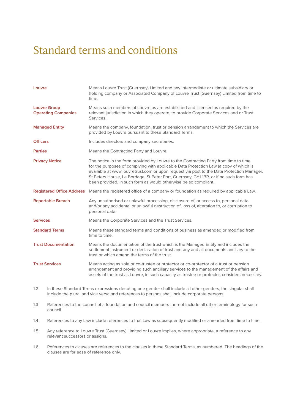| Louvre                                            | Means Louvre Trust (Guernsey) Limited and any intermediate or ultimate subsidiary or<br>holding company or Associated Company of Louvre Trust (Guernsey) Limited from time to<br>time.                                                                                                                                                                                                                                                |  |  |
|---------------------------------------------------|---------------------------------------------------------------------------------------------------------------------------------------------------------------------------------------------------------------------------------------------------------------------------------------------------------------------------------------------------------------------------------------------------------------------------------------|--|--|
| <b>Louvre Group</b><br><b>Operating Companies</b> | Means such members of Louvre as are established and licensed as required by the<br>relevant jurisdiction in which they operate, to provide Corporate Services and or Trust<br>Services.                                                                                                                                                                                                                                               |  |  |
| <b>Managed Entity</b>                             | Means the company, foundation, trust or pension arrangement to which the Services are<br>provided by Louvre pursuant to these Standard Terms.                                                                                                                                                                                                                                                                                         |  |  |
| <b>Officers</b>                                   | Includes directors and company secretaries.                                                                                                                                                                                                                                                                                                                                                                                           |  |  |
| <b>Parties</b>                                    | Means the Contracting Party and Louvre.                                                                                                                                                                                                                                                                                                                                                                                               |  |  |
| <b>Privacy Notice</b>                             | The notice in the form provided by Louvre to the Contracting Party from time to time<br>for the purposes of complying with applicable Data Protection Law (a copy of which is<br>available at www.louvretrust.com or upon request via post to the Data Protection Manager,<br>St Peters House, Le Bordage, St Peter Port, Guernsey, GY11BR. or if no such form has<br>been provided, in such form as would otherwise be so compliant. |  |  |
| <b>Registered Office Address</b>                  | Means the registered office of a company or foundation as required by applicable Law.                                                                                                                                                                                                                                                                                                                                                 |  |  |
| <b>Reportable Breach</b>                          | Any unauthorised or unlawful processing, disclosure of, or access to, personal data<br>and/or any accidental or unlawful destruction of, loss of, alteration to, or corruption to<br>personal data.                                                                                                                                                                                                                                   |  |  |
| <b>Services</b>                                   | Means the Corporate Services and the Trust Services.                                                                                                                                                                                                                                                                                                                                                                                  |  |  |
| <b>Standard Terms</b>                             | Means these standard terms and conditions of business as amended or modified from<br>time to time.                                                                                                                                                                                                                                                                                                                                    |  |  |
| <b>Trust Documentation</b>                        | Means the documentation of the trust which is the Managed Entity and includes the<br>settlement instrument or declaration of trust and any and all documents ancillary to the<br>trust or which amend the terms of the trust.                                                                                                                                                                                                         |  |  |
| <b>Trust Services</b>                             | Means acting as sole or co-trustee or protector or co-protector of a trust or pension<br>arrangement and providing such ancillary services to the management of the affairs and<br>assets of the trust as Louvre, in such capacity as trustee or protector, considers necessary.                                                                                                                                                      |  |  |

- 1.2 In these Standard Terms expressions denoting one gender shall include all other genders, the singular shall include the plural and vice versa and references to persons shall include corporate persons.
- 1.3 References to the council of a foundation and council members thereof include all other terminology for such council.
- 1.4 References to any Law include references to that Law as subsequently modified or amended from time to time.
- 1.5 Any reference to Louvre Trust (Guernsey) Limited or Louvre implies, where appropriate, a reference to any relevant successors or assigns.
- 1.6 References to clauses are references to the clauses in these Standard Terms, as numbered. The headings of the clauses are for ease of reference only.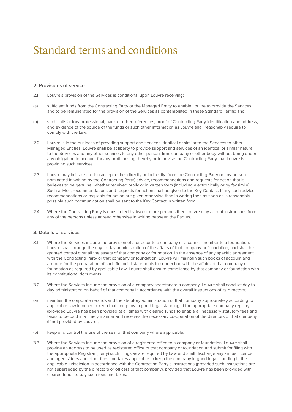#### **2. Provisions of service**

- 2.1 Louvre's provision of the Services is conditional upon Louvre receiving:
- (a) sufficient funds from the Contracting Party or the Managed Entity to enable Louvre to provide the Services and to be remunerated for the provision of the Services as contemplated in these Standard Terms; and
- (b) such satisfactory professional, bank or other references, proof of Contracting Party identification and address, and evidence of the source of the funds or such other information as Louvre shall reasonably require to comply with the Law.
- 2.2 Louvre is in the business of providing support and services identical or similar to the Services to other Managed Entities. Louvre shall be at liberty to provide support and services of an identical or similar nature to the Services and any other services to any other person, firm, company or other body without being under any obligation to account for any profit arising thereby or to advise the Contracting Party that Louvre is providing such services.
- 2.3 Louvre may in its discretion accept either directly or indirectly (from the Contracting Party or any person nominated in writing by the Contracting Party) advice, recommendations and requests for action that it believes to be genuine, whether received orally or in written form (including electronically or by facsimile). Such advice, recommendations and requests for action shall be given to the Key Contact. If any such advice, recommendations or requests for action are given otherwise than in writing then as soon as is reasonably possible such communication shall be sent to the Key Contact in written form.
- 2.4 Where the Contracting Party is constituted by two or more persons then Louvre may accept instructions from any of the persons unless agreed otherwise in writing between the Parties.

#### **3. Details of services**

- 3.1 Where the Services include the provision of a director to a company or a council member to a foundation, Louvre shall arrange the day-to-day administration of the affairs of that company or foundation, and shall be granted control over all the assets of that company or foundation. In the absence of any specific agreement with the Contracting Party or that company or foundation, Louvre will maintain such books of account and arrange for the preparation of such financial statements in connection with the affairs of that company or foundation as required by applicable Law. Louvre shall ensure compliance by that company or foundation with its constitutional documents.
- 3.2 Where the Services include the provision of a company secretary to a company, Louvre shall conduct day-today administration on behalf of that company in accordance with the overall instructions of its directors;
- (a) maintain the corporate records and the statutory administration of that company appropriately according to applicable Law in order to keep that company in good legal standing at the appropriate company registry (provided Louvre has been provided at all times with cleared funds to enable all necessary statutory fees and taxes to be paid in a timely manner and receives the necessary co-operation of the directors of that company (if not provided by Louvre),
- (b) keep and control the use of the seal of that company where applicable.
- 3.3 Where the Services include the provision of a registered office to a company or foundation, Louvre shall provide an address to be used as registered office of that company or foundation and submit for filing with the appropriate Registrar (if any) such filings as are required by Law and shall discharge any annual licence and agents' fees and other fees and taxes applicable to keep the company in good legal standing in the applicable jurisdiction in accordance with the Contracting Party's instructions (provided such instructions are not superseded by the directors or officers of that company), provided that Louvre has been provided with cleared funds to pay such fees and taxes.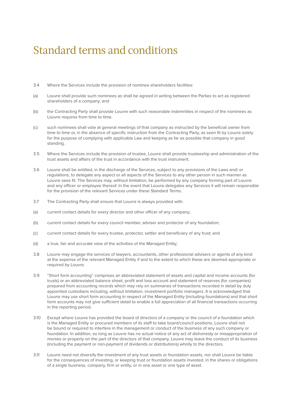- 3.4 Where the Services include the provision of nominee shareholders facilities:
- (a) Louvre shall provide such nominees as shall be agreed in writing between the Parties to act as registered shareholders of a company; and
- (b) the Contracting Party shall provide Louvre with such reasonable indemnities in respect of the nominees as Louvre requires from time to time.
- (c) such nominees shall vote at general meetings of that company as instructed by the beneficial owner from time to time or, in the absence of specific instruction from the Contracting Party, as seen fit by Louvre solely for the purpose of complying with applicable Law and keeping as far as possible that company in good standing.
- 3.5 Where the Services include the provision of trustee, Louvre shall provide trusteeship and administration of the trust assets and affairs of the trust in accordance with the trust instrument.
- 3.6 Louvre shall be entitled, in the discharge of the Services, subject to any provisions of the Laws and/ or regulations, to delegate any aspect or all aspects of the Services to any other person in such manner as Louvre sees fit. The Services may, without limitation, be performed by any company forming part of Louvre and any officer or employee thereof. In the event that Louvre delegates any Services it will remain responsible for the provision of the relevant Services under these Standard Terms.
- 3.7 The Contracting Party shall ensure that Louvre is always provided with:
- (a) current contact details for every director and other officer of any company;
- (b) current contact details for every council member, adviser and protector of any foundation;
- (c) current contact details for every trustee, protector, settler and beneficiary of any trust; and
- (d) a true, fair and accurate view of the activities of the Managed Entity;
- 3.8 Louvre may engage the services of lawyers, accountants, other professional advisers or agents of any kind at the expense of the relevant Managed Entity if and to the extent to which these are deemed appropriate or required by Louvre.
- 3.9 "Short form accounting" comprises an abbreviated statement of assets and capital and income accounts (for trusts) or an abbreviated balance sheet, profit and loss account and statement of reserves (for companies) prepared from accounting records which may rely on summaries of transactions recorded in detail by duly appointed custodians including, without limitation, investment portfolio managers. It is acknowledged that Louvre may use short form accounting in respect of the Managed Entity (including foundations) and that short form accounts may not give sufficient detail to enable a full appreciation of all financial transactions occurring in the reporting period.
- 3.10 Except where Louvre has provided the board of directors of a company or the council of a foundation which is the Managed Entity or procured members of its staff to take board/council positions, Louvre shall not be bound or required to interfere in the management or conduct of the business of any such company or foundation. In addition, so long as Louvre has no actual notice of any act of dishonesty or misappropriation of monies or property on the part of the directors of that company, Louvre may leave the conduct of its business (including the payment or non-payment of dividends or distributions) wholly to the directors.
- 3.11 Louvre need not diversify the investment of any trust assets or foundation assets, nor shall Louvre be liable for the consequences of investing, or keeping trust or foundation assets invested, in the shares or obligations of a single business, company, firm or entity, or in one asset or one type of asset.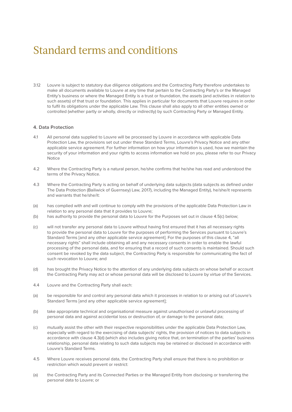3.12 Louvre is subject to statutory due diligence obligations and the Contracting Party therefore undertakes to make all documents available to Louvre at any time that pertain to the Contracting Party's or the Managed Entity's business or where the Managed Entity is a trust or foundation, the assets (and activities in relation to such assets) of that trust or foundation. This applies in particular for documents that Louvre requires in order to fulfil its obligations under the applicable Law. This clause shall also apply to all other entities owned or controlled (whether partly or wholly, directly or indirectly) by such Contracting Party or Managed Entity.

#### **4. Data Protection**

- 4.1 All personal data supplied to Louvre will be processed by Louvre in accordance with applicable Data Protection Law, the provisions set out under these Standard Terms, Louvre's Privacy Notice and any other applicable service agreement. For further information on how your information is used, how we maintain the security of your information and your rights to access information we hold on you, please refer to our Privacy Notice
- 4.2 Where the Contracting Party is a natural person, he/she confirms that he/she has read and understood the terms of the Privacy Notice.
- 4.3 Where the Contracting Party is acting on behalf of underlying data subjects (data subjects as defined under The Data Protection (Bailiwick of Guernsey) Law, 2017), including the Managed Entity), he/she/it represents and warrants that he/she/it:
- (a) has complied with and will continue to comply with the provisions of the applicable Data Protection Law in relation to any personal data that it provides to Louvre;
- (b) has authority to provide the personal data to Louvre for the Purposes set out in clause 4.5(c) below;
- (c) will not transfer any personal data to Louvre without having first ensured that it has all necessary rights to provide the personal data to Louvre for the purposes of performing the Services pursuant to Louvre's Standard Terms [and any other applicable service agreement]. For the purposes of this clause 4, "all necessary rights" shall include obtaining all and any necessary consents in order to enable the lawful processing of the personal data, and for ensuring that a record of such consents is maintained. Should such consent be revoked by the data subject, the Contracting Party is responsible for communicating the fact of such revocation to Louvre; and
- (d) has brought the Privacy Notice to the attention of any underlying data subjects on whose behalf or account the Contracting Party may act or whose personal data will be disclosed to Louvre by virtue of the Services.
- 4.4 Louvre and the Contracting Party shall each:
- (a) be responsible for and control any personal data which it processes in relation to or arising out of Louvre's Standard Terms [and any other applicable service agreement];
- (b) take appropriate technical and organisational measure against unauthorised or unlawful processing of personal data and against accidental loss or destruction of, or damage to the personal data;
- (c) mutually assist the other with their respective responsibilities under the applicable Data Protection Law, especially with regard to the exercising of data subjects' rights, the provision of notices to data subjects in accordance with clause 4.3(d) (which also includes giving notice that, on termination of the parties' business relationship, personal data relating to such data subjects may be retained or disclosed in accordance with Louvre's Standard Terms.
- 4.5 Where Louvre receives personal data, the Contracting Party shall ensure that there is no prohibition or restriction which would prevent or restrict:
- (a) the Contracting Party and its Connected Parties or the Managed Entity from disclosing or transferring the personal data to Louvre; or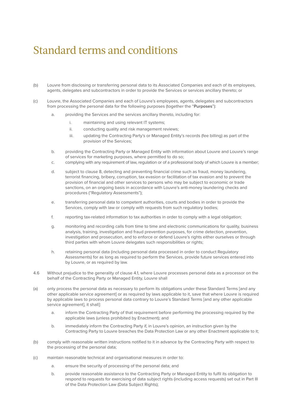- (b) Louvre from disclosing or transferring personal data to its Associated Companies and each of its employees, agents, delegates and subcontractors in order to provide the Services or services ancillary thereto; or
- (c) Louvre, the Associated Companies and each of Louvre's employees, agents, delegates and subcontractors from processing the personal data for the following purposes (together the "**Purposes**"):
	- a. providing the Services and the services ancillary thereto, including for:
		- i. maintaining and using relevant IT systems:
		- ii. conducting quality and risk management reviews;
		- iii. updating the Contracting Party's or Managed Entity's records (fee billing) as part of the provision of the Services;
	- b. providing the Contracting Party or Managed Entity with information about Louvre and Louvre's range of services for marketing purposes, where permitted to do so;
	- c. complying with any requirement of law, regulation or of a professional body of which Louvre is a member;
	- d. subject to clause 8, detecting and preventing financial crime such as fraud, money laundering, terrorist financing, bribery, corruption, tax evasion or facilitation of tax evasion and to prevent the provision of financial and other services to persons who may be subject to economic or trade sanctions, on an ongoing basis in accordance with Louvre's anti-money laundering checks and procedures ("Regulatory Assessments");
	- e. transferring personal data to competent authorities, courts and bodies in order to provide the Services, comply with law or comply with requests from such regulatory bodies;
	- f. reporting tax-related information to tax authorities in order to comply with a legal obligation;
	- g. monitoring and recording calls from time to time and electronic communications for quality, business analysis, training, investigation and fraud prevention purposes, for crime detection, prevention, investigation and prosecution, and to enforce or defend Louvre's rights either ourselves or through third parties with whom Louvre delegates such responsibilities or rights;
	- h. retaining personal data (including personal data processed in order to conduct Regulatory Assessments) for as long as required to perform the Services, provide future services entered into by Louvre, or as required by law.
- 4.6 Without prejudice to the generality of clause 4.1, where Louvre processes personal data as a processor on the behalf of the Contracting Party or Managed Entity, Louvre shall
- (a) only process the personal data as necessary to perform its obligations under these Standard Terms [and any other applicable service agreement] or as required by laws applicable to it, save that where Louvre is required by applicable laws to process personal data contrary to Louvre's Standard Terms [and any other applicable service agreement], it shall]:
	- a. inform the Contracting Party of that requirement before performing the processing required by the applicable laws (unless prohibited by Enactment); and
	- b. immediately inform the Contracting Party if, in Louvre's opinion, an instruction given by the Contracting Party to Louvre breaches the Data Protection Law or any other Enactment applicable to it;
- (b) comply with reasonable written instructions notified to it in advance by the Contracting Party with respect to the processing of the personal data;
- (c) maintain reasonable technical and organisational measures in order to:
	- a. ensure the security of processing of the personal data; and
	- b. provide reasonable assistance to the Contracting Party or Managed Entity to fulfil its obligation to respond to requests for exercising of data subject rights (including access requests) set out in Part III of the Data Protection Law (Data Subject Rights);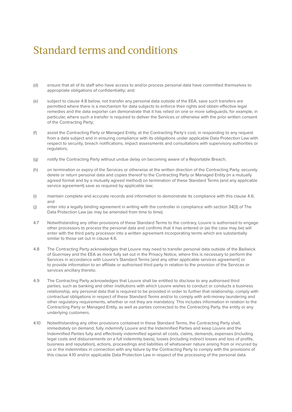- (d) ensure that all of its staff who have access to and/or process personal data have committed themselves to appropriate obligations of confidentiality; and
- (e) subject to clause 4.8 below, not transfer any personal data outside of the EEA, save such transfers are permitted where there is a mechanism for data subjects to enforce their rights and obtain effective legal remedies and the data exporter can demonstrate that it has relied on one or more safeguards, for example, in particular, where such a transfer is required to deliver the Services or otherwise with the prior written consent of the Contracting Party;
- (f) assist the Contracting Party or Managed Entity, at the Contracting Party's cost, in responding to any request from a data subject and in ensuring compliance with its obligations under applicable Data Protection Law with respect to security, breach notifications, impact assessments and consultations with supervisory authorities or regulators:
- (g) notify the Contracting Party without undue delay on becoming aware of a Reportable Breach;
- (h) on termination or expiry of the Services or otherwise at the written direction of the Contracting Party, securely delete or return personal data and copies thereof to the Contracting Party or Managed Entity (in a mutually agreed format and by a mutually agreed method) on termination of these Standard Terms (and any applicable service agreement) save as required by applicable law;
- (i) maintain complete and accurate records and information to demonstrate its compliance with this clause 4.6; and
- (j) enter into a legally binding agreement in writing with the controller in compliance with section 34(3) of The Data Protection Law (as may be amended from time to time).
- 4.7 Notwithstanding any other provisions of these Standard Terms to the contrary, Louvre is authorised to engage other processors to process the personal data and confirms that it has entered or (as the case may be) will enter with the third party processor into a written agreement incorporating terms which are substantially similar to those set out in clause 4.6.
- 4.8 The Contracting Party acknowledges that Louvre may need to transfer personal data outside of the Bailiwick of Guernsey and the EEA as more fully set out in the Privacy Notice, where this is necessary to perform the Services in accordance with Louvre's Standard Terms [and any other applicable services agreement] or to provide information to an affiliate or authorised third party in relation to the provision of the Services or services ancillary thereto.
- 4.9 The Contracting Party acknowledges that Louvre shall be entitled to disclose to any authorised third parties, such as banking and other institutions with which Louvre wishes to conduct or conducts a business relationship, any personal data that is required to be provided in order to further that relationship, comply with contractual obligations in respect of these Standard Terms and/or to comply with anti-money laundering and other regulatory requirements, whether or not they are mandatory. This includes information in relation to the Contracting Party or Managed Entity, as well as parties connected to the Contracting Party, the entity or any underlying customers.
- 4.10 Notwithstanding any other provisions contained in these Standard Terms, the Contracting Party shall, immediately on demand, fully indemnify Louvre and the Indemnified Parties and keep Louvre and the Indemnified Parties fully and effectively indemnified against all costs, claims, demands, expenses (including legal costs and disbursements on a full indemnity basis), losses (including indirect losses and loss of profits, business and reputation), actions, proceedings and liabilities of whatsoever nature arising from or incurred by us or the indemnities in connection with any failure by the Contracting Party to comply with the provisions of this clause 4.10 and/or applicable Data Protection Law in respect of the processing of the personal data.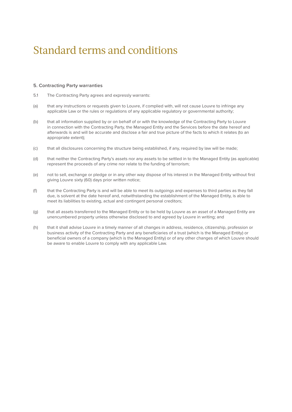#### **5. Contracting Party warranties**

- 5.1 The Contracting Party agrees and expressly warrants:
- (a) that any instructions or requests given to Louvre, if complied with, will not cause Louvre to infringe any applicable Law or the rules or regulations of any applicable regulatory or governmental authority;
- (b) that all information supplied by or on behalf of or with the knowledge of the Contracting Party to Louvre in connection with the Contracting Party, the Managed Entity and the Services before the date hereof and afterwards is and will be accurate and disclose a fair and true picture of the facts to which it relates (to an appropriate extent);
- (c) that all disclosures concerning the structure being established, if any, required by law will be made;
- (d) that neither the Contracting Party's assets nor any assets to be settled in to the Managed Entity (as applicable) represent the proceeds of any crime nor relate to the funding of terrorism;
- (e) not to sell, exchange or pledge or in any other way dispose of his interest in the Managed Entity without first giving Louvre sixty (60) days prior written notice;
- (f) that the Contracting Party is and will be able to meet its outgoings and expenses to third parties as they fall due, is solvent at the date hereof and, notwithstanding the establishment of the Managed Entity, is able to meet its liabilities to existing, actual and contingent personal creditors;
- (g) that all assets transferred to the Managed Entity or to be held by Louvre as an asset of a Managed Entity are unencumbered property unless otherwise disclosed to and agreed by Louvre in writing; and
- (h) that it shall advise Louvre in a timely manner of all changes in address, residence, citizenship, profession or business activity of the Contracting Party and any beneficiaries of a trust (which is the Managed Entity) or beneficial owners of a company (which is the Managed Entity) or of any other changes of which Louvre should be aware to enable Louvre to comply with any applicable Law.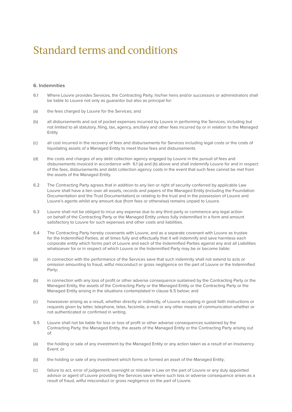#### **6. Indemnities**

- 6.1 Where Louvre provides Services, the Contracting Party, his/her heirs and/or successors or administrators shall be liable to Louvre not only as guarantor but also as principal for:
- (a) the fees charged by Louvre for the Services; and
- (b) all disbursements and out of pocket expenses incurred by Louvre in performing the Services, including but not limited to all statutory, filing, tax, agency, ancillary and other fees incurred by or in relation to the Managed Entity
- (c) all cost incurred in the recovery of fees and disbursements for Services including legal costs or the costs of liquidating assets of a Managed Entity to meet those fees and disbursements
- (d) the costs and charges of any debt collection agency engaged by Louvre in the pursuit of fees and disbursements invoiced in accordance with 6.1 (a) and (b) above and shall indemnify Louvre for and in respect of the fees, disbursements and debt collection agency costs in the event that such fees cannot be met from the assets of the Managed Entity.
- 6.2 The Contracting Party agrees that in addition to any lien or right of security conferred by applicable Law Louvre shall have a lien over all assets, records and papers of the Managed Entity (including the Foundation Documentation and the Trust Documentation) or relating to the trust and in the possession of Louvre and Louvre's agents whilst any amount due (from fees or otherwise) remains unpaid to Louvre.
- 6.3 Louvre shall not be obliged to incur any expense due to any third party or commence any legal action on behalf of the Contracting Party or the Managed Entity unless fully indemnified in a form and amount satisfactory to Louvre for such expenses and other costs and liabilities.
- 6.4 The Contracting Party hereby covenants with Louvre, and as a separate covenant with Louvre as trustee for the Indemnified Parties, at all times fully and effectually that it will indemnify and save harmless each corporate entity which forms part of Louvre and each of the Indemnified Parties against any and all Liabilities whatsoever for or in respect of which Louvre or the Indemnified Party may be or become liable:
- (a) in connection with the performance of the Services save that such indemnity shall not extend to acts or omission amounting to fraud, wilful misconduct or gross negligence on the part of Louvre or the Indemnified Party;
- (b) in connection with any loss of profit or other adverse consequence sustained by the Contracting Party or the Managed Entity, the assets of the Contracting Party or the Managed Entity or the Contracting Party or the Managed Entity arising in the situations contemplated in clause 6.5 below; and
- (c) howsoever arising as a result, whether directly or indirectly, of Louvre accepting in good faith instructions or requests given by letter, telephone, telex, facsimile, e-mail or any other means of communication whether or not authenticated or confirmed in writing.
- 6.5 Louvre shall not be liable for loss or loss of profit or other adverse consequences sustained by the Contracting Party, the Managed Entity, the assets of the Managed Entity or the Contracting Party arising out of:
- (a) the holding or sale of any investment by the Managed Entity or any action taken as a result of an Insolvency Event; or
- (b) the holding or sale of any investment which forms or formed an asset of the Managed Entity;
- (c) failure to act, error of judgement, oversight or mistake in Law on the part of Louvre or any duly appointed advisor or agent of Louvre providing the Services save where such loss or adverse consequence arises as a result of fraud, wilful misconduct or gross negligence on the part of Louvre.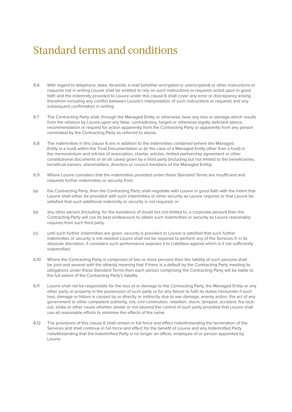- 6.6 With regard to telephone, telex, facsimile, e-mail (whether encrypted or unencrypted) or other instructions or requests not in writing Louvre shall be entitled to rely on such instructions or requests acted upon in good faith and the indemnity provided to Louvre under this clause 6 shall cover any error or discrepancy arising therefrom including any conflict between Louvre's interpretation of such instructions or requests and any subsequent confirmation in writing.
- 6.7 The Contracting Party shall, through the Managed Entity or otherwise, bear any loss or damage which results from the reliance by Louvre upon any false, contradictory, forged or otherwise legally deficient advice, recommendation or request for action apparently from the Contracting Party or apparently from any person nominated by the Contracting Party as referred to above.
- 6.8 The indemnities in this clause 6 are in addition to the indemnities contained (where the Managed Entity is a trust) within the Trust Documentation or (in the case of a Managed Entity other than a trust) in the memorandum and articles of association, charter, articles, limited partnership agreement or other constitutional documents or (in all cases) given by a third party (including but not limited to the beneficiaries, beneficial owners, shareholders, directors or council members of the Managed Entity).
- 6.9 Where Louvre considers that the indemnities provided under these Standard Terms are insufficient and requests further indemnities or security from:
- (a) the Contracting Party, then the Contracting Party shall negotiate with Louvre in good faith with the intent that Louvre shall either be provided with such indemnities or other security as Louvre requires or that Louvre be satisfied that such additional indemnity or security is not required; or
- (b) any other person (including, for the avoidance of doubt but not limited to, a corporate person) then the Contracting Party will use its best endeavours to obtain such indemnities or security as Louvre reasonably requires from such third party.
- (c) until such further indemnities are given, security is provided or Louvre is satisfied that such further indemnities or security is not needed Louvre shall not be required to perform any of the Services if, in its absolute discretion, it considers such performance exposes it to Liabilities against which is it not sufficiently indemnified.
- 6.10 Where the Contracting Party is comprised of two or more persons then the liability of such persons shall be joint and several with the other(s) meaning that if there is a default by the Contracting Party meeting its obligations under these Standard Terms then each person comprising the Contracting Party will be liable to the full extent of the Contracting Party's liability.
- 6.11 Louvre shall not be responsible for the loss of or damage to the Contracting Party, the Managed Entity or any other party or property in the possession of such party or for any failure to fulfil its duties hereunder if such loss, damage or failure is caused by or directly or indirectly due to war damage, enemy action, the act of any government or other competent authority, riot, civil commotion, rebellion, storm, tempest, accident, fire lockout, strike or other cause whether similar or not beyond the control of such party provided that Louvre shall use all reasonable efforts to minimise the effects of the same.
- 6.12 The provisions of this clause 6 shall remain in full force and effect notwithstanding the termination of the Services and shall continue in full force and effect for the benefit of Louvre and any Indemnified Party notwithstanding that the Indemnified Party is no longer an officer, employee of or person appointed by Louvre.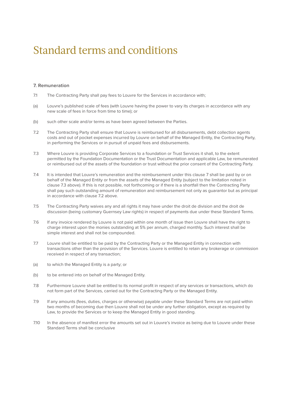#### **7. Remuneration**

- 7.1 The Contracting Party shall pay fees to Louvre for the Services in accordance with;
- (a) Louvre's published scale of fees (with Louvre having the power to vary its charges in accordance with any new scale of fees in force from time to time); or
- (b) such other scale and/or terms as have been agreed between the Parties.
- 7.2 The Contracting Party shall ensure that Louvre is reimbursed for all disbursements, debt collection agents costs and out of pocket expenses incurred by Louvre on behalf of the Managed Entity, the Contracting Party, in performing the Services or in pursuit of unpaid fees and disbursements.
- 7.3 Where Louvre is providing Corporate Services to a foundation or Trust Services it shall, to the extent permitted by the Foundation Documentation or the Trust Documentation and applicable Law, be remunerated or reimbursed out of the assets of the foundation or trust without the prior consent of the Contracting Party.
- 7.4 It is intended that Louvre's remuneration and the reimbursement under this clause 7 shall be paid by or on behalf of the Managed Entity or from the assets of the Managed Entity (subject to the limitation noted in clause 7.3 above). If this is not possible, not forthcoming or if there is a shortfall then the Contracting Party shall pay such outstanding amount of remuneration and reimbursement not only as guarantor but as principal in accordance with clause 7.2 above.
- 7.5 The Contracting Party waives any and all rights it may have under the droit de division and the droit de discussion (being customary Guernsey Law rights) in respect of payments due under these Standard Terms.
- 7.6 If any invoice rendered by Louvre is not paid within one month of issue then Louvre shall have the right to charge interest upon the monies outstanding at 5% per annum, charged monthly. Such interest shall be simple interest and shall not be compounded.
- 7.7 Louvre shall be entitled to be paid by the Contracting Party or the Managed Entity in connection with transactions other than the provision of the Services. Louvre is entitled to retain any brokerage or commission received in respect of any transaction;
- (a) to which the Managed Entity is a party; or
- (b) to be entered into on behalf of the Managed Entity.
- 7.8 Furthermore Louvre shall be entitled to its normal profit in respect of any services or transactions, which do not form part of the Services, carried out for the Contracting Party or the Managed Entity.
- 7.9 If any amounts (fees, duties, charges or otherwise) payable under these Standard Terms are not paid within two months of becoming due then Louvre shall not be under any further obligation, except as required by Law, to provide the Services or to keep the Managed Entity in good standing.
- 7.10 In the absence of manifest error the amounts set out in Louvre's invoice as being due to Louvre under these Standard Terms shall be conclusive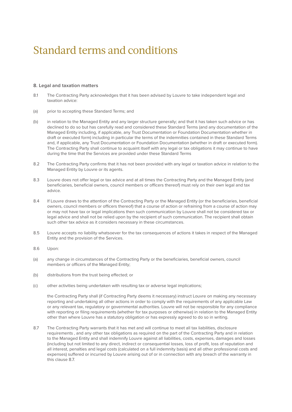#### **8. Legal and taxation matters**

- 8.1 The Contracting Party acknowledges that it has been advised by Louvre to take independent legal and taxation advice:
- (a) prior to accepting these Standard Terms; and
- (b) in relation to the Managed Entity and any larger structure generally; and that it has taken such advice or has declined to do so but has carefully read and considered these Standard Terms (and any documentation of the Managed Entity including, if applicable, any Trust Documentation or Foundation Documentation whether in draft or executed form) including in particular the terms of the indemnities contained in these Standard Terms and, if applicable, any Trust Documentation or Foundation Documentation (whether in draft or executed form). The Contracting Party shall continue to acquaint itself with any legal or tax obligations it may continue to have during the time that the Services are provided under these Standard Terms
- 8.2 The Contracting Party confirms that it has not been provided with any legal or taxation advice in relation to the Managed Entity by Louvre or its agents.
- 8.3 Louvre does not offer legal or tax advice and at all times the Contracting Party and the Managed Entity (and beneficiaries, beneficial owners, council members or officers thereof) must rely on their own legal and tax advice.
- 8.4 If Louvre draws to the attention of the Contracting Party or the Managed Entity (or the beneficiaries, beneficial owners, council members or officers thereof) that a course of action or refraining from a course of action may or may not have tax or legal implications then such communication by Louvre shall not be considered tax or legal advice and shall not be relied upon by the recipient of such communication. The recipient shall obtain such other tax advice as it considers necessary in these circumstances.
- 8.5 Louvre accepts no liability whatsoever for the tax consequences of actions it takes in respect of the Managed Entity and the provision of the Services.
- 8.6 Upon:
- (a) any change in circumstances of the Contracting Party or the beneficiaries, beneficial owners, council members or officers of the Managed Entity;
- (b) distributions from the trust being effected; or
- (c) other activities being undertaken with resulting tax or adverse legal implications;

the Contracting Party shall (if Contracting Party deems it necessary) instruct Louvre on making any necessary reporting and undertaking all other actions in order to comply with the requirements of any applicable Law or any relevant tax, regulatory or governmental authorities. Louvre will not be responsible for any compliance with reporting or filing requirements (whether for tax purposes or otherwise) in relation to the Managed Entity other than where Louvre has a statutory obligation or has expressly agreed to do so in writing.

8.7 The Contracting Party warrants that it has met and will continue to meet all tax liabilities, disclosure requirements , and any other tax obligations as required on the part of the Contracting Party and in relation to the Managed Entity and shall indemnify Louvre against all liabilities, costs, expenses, damages and losses (including but not limited to any direct, indirect or consequential losses, loss of profit, loss of reputation and all interest, penalties and legal costs (calculated on a full indemnity basis) and all other professional costs and expenses) suffered or incurred by Louvre arising out of or in connection with any breach of the warranty in this clause 8.7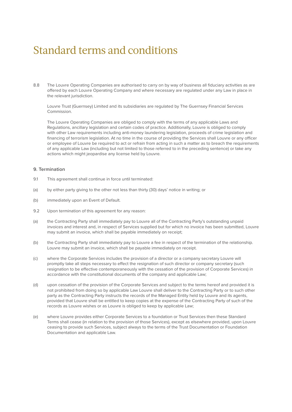8.8 The Louvre Operating Companies are authorised to carry on by way of business all fiduciary activities as are offered by each Louvre Operating Company and where necessary are regulated under any Law in place in the relevant jurisdiction.

Louvre Trust (Guernsey) Limited and its subsidiaries are regulated by The Guernsey Financial Services Commission.

The Louvre Operating Companies are obliged to comply with the terms of any applicable Laws and Regulations, ancillary legislation and certain codes of practice. Additionally, Louvre is obliged to comply with other Law requirements including anti-money laundering legislation, proceeds of crime legislation and financing of terrorism legislation. At no time in the course of providing the Services shall Louvre or any officer or employee of Louvre be required to act or refrain from acting in such a matter as to breach the requirements of any applicable Law (including but not limited to those referred to in the preceding sentence) or take any actions which might jeopardise any license held by Louvre.

#### **9. Termination**

- 9.1 This agreement shall continue in force until terminated:
- (a) by either party giving to the other not less than thirty (30) days' notice in writing; or
- (b) immediately upon an Event of Default.
- 9.2 Upon termination of this agreement for any reason:
- (a) the Contracting Party shall immediately pay to Louvre all of the Contracting Party's outstanding unpaid invoices and interest and, in respect of Services supplied but for which no invoice has been submitted, Louvre may submit an invoice, which shall be payable immediately on receipt;
- (b) the Contracting Party shall immediately pay to Louvre a fee in respect of the termination of the relationship. Louvre may submit an invoice, which shall be payable immediately on receipt.
- (c) where the Corporate Services includes the provision of a director or a company secretary Louvre will promptly take all steps necessary to effect the resignation of such director or company secretary (such resignation to be effective contemporaneously with the cessation of the provision of Corporate Services) in accordance with the constitutional documents of the company and applicable Law;
- (d) upon cessation of the provision of the Corporate Services and subject to the terms hereof and provided it is not prohibited from doing so by applicable Law Louvre shall deliver to the Contracting Party or to such other party as the Contracting Party instructs the records of the Managed Entity held by Louvre and its agents, provided that Louvre shall be entitled to keep copies at the expense of the Contracting Party of such of the records as Louvre wishes or as Louvre is obliged to keep by applicable Law;
- (e) where Louvre provides either Corporate Services to a foundation or Trust Services then these Standard Terms shall cease (in relation to the provision of those Services), except as elsewhere provided, upon Louvre ceasing to provide such Services, subject always to the terms of the Trust Documentation or Foundation Documentation and applicable Law.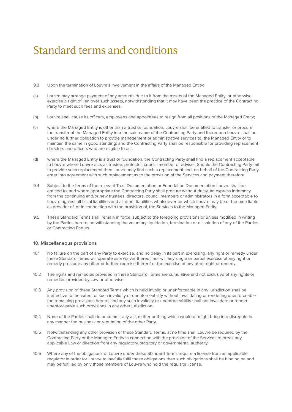- 9.3 Upon the termination of Louvre's involvement in the affairs of the Managed Entity:
- (a) Louvre may arrange payment of any amounts due to it from the assets of the Managed Entity, or otherwise exercise a right of lien over such assets, notwithstanding that it may have been the practice of the Contracting Party to meet such fees and expenses;
- (b) Louvre shall cause its officers, employees and appointees to resign from all positions of the Managed Entity;
- (c) where the Managed Entity is other than a trust or foundation, Louvre shall be entitled to transfer or procure the transfer of the Managed Entity into the sole name of the Contracting Party and thereupon Louvre shall be under no further obligation to provide management or administrative services to the Managed Entity or to maintain the same in good standing; and the Contracting Party shall be responsible for providing replacement directors and officers who are eligible to act.
- (d) where the Managed Entity is a trust or foundation, the Contracting Party shall find a replacement acceptable to Louvre where Louvre acts as trustee, protector, council member or adviser. Should the Contracting Party fail to provide such replacement then Louvre may find such a replacement and, on behalf of the Contracting Party enter into agreement with such replacement as to the provision of the Services and payment therefore.
- 9.4 Subject to the terms of the relevant Trust Documentation or Foundation Documentation Louvre shall be entitled to, and where appropriate the Contracting Party shall procure without delay, an express indemnity from the continuing and/or new trustees, directors, council members or administrators in a form acceptable to Louvre against all fiscal liabilities and all other liabilities whatsoever for which Louvre may be or become liable as provider of, or in connection with the provision of, the Services to the Managed Entity.
- 9.5 These Standard Terms shall remain in force, subject to the foregoing provisions or unless modified in writing by the Parties hereto, notwithstanding the voluntary liquidation, termination or dissolution of any of the Parties or Contracting Parties.

#### **10. Miscellaneous provisions**

- 10.1 No failure on the part of any Party to exercise, and no delay in its part in exercising, any right or remedy under these Standard Terms will operate as a waiver thereof, nor will any single or partial exercise of any right or remedy preclude any other or further exercise thereof or the exercise of any other right or remedy.
- 10.2 The rights and remedies provided in these Standard Terms are cumulative and not exclusive of any rights or remedies provided by Law or otherwise.
- 10.3 Any provision of these Standard Terms which is held invalid or unenforceable in any jurisdiction shall be ineffective to the extent of such invalidity or unenforceability without invalidating or rendering unenforceable the remaining provisions hereof, and any such invalidity or unenforceability shall not invalidate or render unenforceable such provisions in any other jurisdiction.
- 10.4 None of the Parties shall do or commit any act, matter or thing which would or might bring into disrepute in any manner the business or reputation of the other Party.
- 10.5 Notwithstanding any other provision of these Standard Terms, at no time shall Louvre be required by the Contracting Party or the Managed Entity in connection with the provision of the Services to break any applicable Law or direction from any regulatory, statutory or governmental authority
- 10.6 Where any of the obligations of Louvre under these Standard Terms require a license from an applicable regulator in order for Louvre to lawfully fulfil those obligations then such obligations shall be binding on and may be fulfilled by only those members of Louvre who hold the requisite license.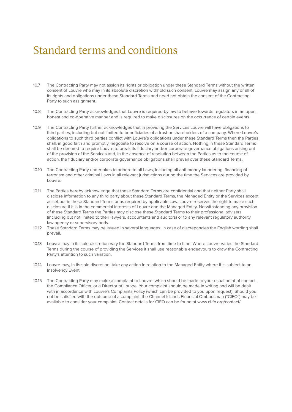- 10.7 The Contracting Party may not assign its rights or obligation under these Standard Terms without the written consent of Louvre who may in its absolute discretion withhold such consent. Louvre may assign any or all of its rights and obligations under these Standard Terms and need not obtain the consent of the Contracting Party to such assignment.
- 10.8 The Contracting Party acknowledges that Louvre is required by law to behave towards regulators in an open, honest and co-operative manner and is required to make disclosures on the occurrence of certain events.
- 10.9 The Contracting Party further acknowledges that in providing the Services Louvre will have obligations to third parties, including but not limited to beneficiaries of a trust or shareholders of a company. Where Louvre's obligations to such third parties conflict with Louvre's obligations under these Standard Terms then the Parties shall, in good faith and promptly, negotiate to resolve on a course of action. Nothing in these Standard Terms shall be deemed to require Louvre to break its fiduciary and/or corporate governance obligations arising out of the provision of the Services and, in the absence of resolution between the Parties as to the course of action, the fiduciary and/or corporate governance obligations shall prevail over these Standard Terms.
- 10.10 The Contracting Party undertakes to adhere to all Laws, including all anti-money laundering, financing of terrorism and other criminal Laws in all relevant jurisdictions during the time the Services are provided by Louvre.
- 10.11 The Parties hereby acknowledge that these Standard Terms are confidential and that neither Party shall disclose information to any third party about these Standard Terms, the Managed Entity or the Services except as set out in these Standard Terms or as required by applicable Law. Louvre reserves the right to make such disclosure if it is in the commercial interests of Louvre and the Managed Entity. Notwithstanding any provision of these Standard Terms the Parties may disclose these Standard Terms to their professional advisers (including but not limited to their lawyers, accountants and auditors) or to any relevant regulatory authority, law agency or supervisory body.
- 10.12 These Standard Terms may be issued in several languages. In case of discrepancies the English wording shall prevail.
- 10.13 Louvre may in its sole discretion vary the Standard Terms from time to time. Where Louvre varies the Standard Terms during the course of providing the Services it shall use reasonable endeavours to draw the Contracting Party's attention to such variation.
- 10.14 Louvre may, in its sole discretion, take any action in relation to the Managed Entity where it is subject to an Insolvency Event.
- 10.15 The Contracting Party may make a complaint to Louvre, which should be made to your usual point of contact, the Compliance Officer, or a Director of Louvre. Your complaint should be made in writing and will be dealt with in accordance with Louvre's Complaints Policy (which can be provided to you upon request). Should you not be satisfied with the outcome of a complaint, the Channel Islands Financial Ombudsman ("CIFO") may be available to consider your complaint. Contact details for CIFO can be found at www.ci-fo.org/contact/.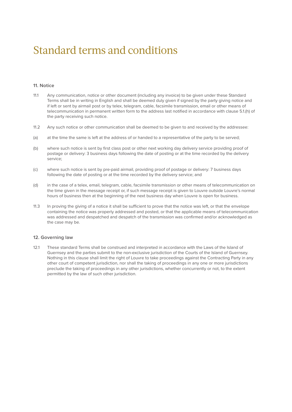#### **11. Notice**

- 11.1 Any communication, notice or other document (including any invoice) to be given under these Standard Terms shall be in writing in English and shall be deemed duly given if signed by the party giving notice and if left or sent by airmail post or by telex, telegram, cable, facsimile transmission, email or other means of telecommunication in permanent written form to the address last notified in accordance with clause 5.1.(h) of the party receiving such notice.
- 11.2 Any such notice or other communication shall be deemed to be given to and received by the addressee:
- (a) at the time the same is left at the address of or handed to a representative of the party to be served;
- (b) where such notice is sent by first class post or other next working day delivery service providing proof of postage or delivery: 3 business days following the date of posting or at the time recorded by the delivery service;
- (c) where such notice is sent by pre-paid airmail, providing proof of postage or delivery: 7 business days following the date of posting or at the time recorded by the delivery service; and
- (d) in the case of a telex, email, telegram, cable, facsimile transmission or other means of telecommunication on the time given in the message receipt or, if such message receipt is given to Louvre outside Louvre's normal hours of business then at the beginning of the next business day when Louvre is open for business.
- 11.3 In proving the giving of a notice it shall be sufficient to prove that the notice was left, or that the envelope containing the notice was properly addressed and posted, or that the applicable means of telecommunication was addressed and despatched and despatch of the transmission was confirmed and/or acknowledged as the case may be.

#### **12. Governing law**

12.1 These standard Terms shall be construed and interpreted in accordance with the Laws of the Island of Guernsey and the parties submit to the non-exclusive jurisdiction of the Courts of the Island of Guernsey. Nothing in this clause shall limit the right of Louvre to take proceedings against the Contracting Party in any other court of competent jurisdiction, nor shall the taking of proceedings in any one or more jurisdictions preclude the taking of proceedings in any other jurisdictions, whether concurrently or not, to the extent permitted by the law of such other jurisdiction.